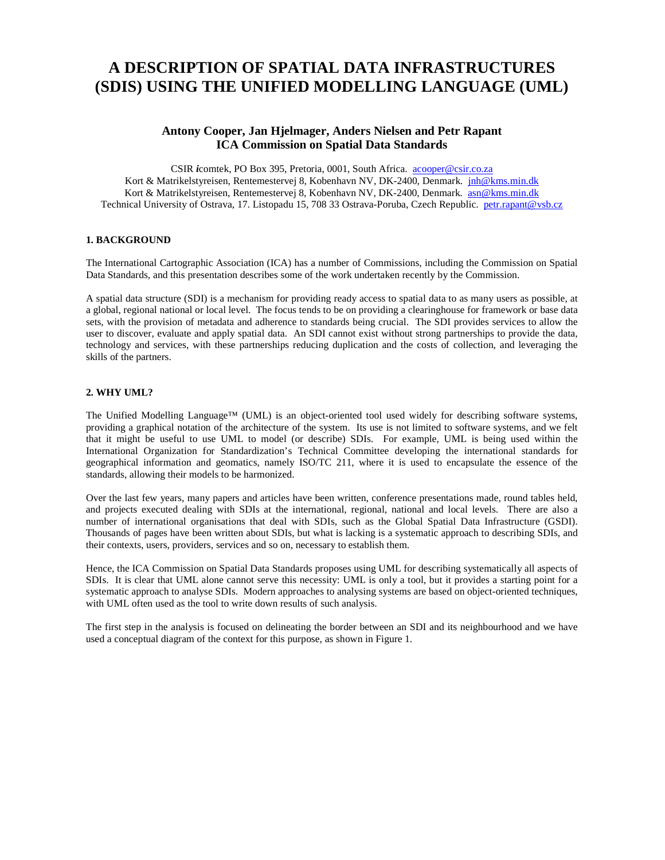# **A DESCRIPTION OF SPATIAL DATA INFRASTRUCTURES (SDIS) USING THE UNIFIED MODELLING LANGUAGE (UML)**

# **Antony Cooper, Jan Hjelmager, Anders Nielsen and Petr Rapant ICA Commission on Spatial Data Standards**

CSIR *i*comtek, PO Box 395, Pretoria, 0001, South Africa. acooper@csir.co.za Kort & Matrikelstyreisen, Rentemestervej 8, Kobenhavn NV, DK-2400, Denmark. jnh@kms.min.dk Kort & Matrikelstyreisen, Rentemestervej 8, Kobenhavn NV, DK-2400, Denmark. asn@kms.min.dk Technical University of Ostrava, 17. Listopadu 15, 708 33 Ostrava-Poruba, Czech Republic. petr.rapant@vsb.cz

#### **1. BACKGROUND**

The International Cartographic Association (ICA) has a number of Commissions, including the Commission on Spatial Data Standards, and this presentation describes some of the work undertaken recently by the Commission.

A spatial data structure (SDI) is a mechanism for providing ready access to spatial data to as many users as possible, at a global, regional national or local level. The focus tends to be on providing a clearinghouse for framework or base data sets, with the provision of metadata and adherence to standards being crucial. The SDI provides services to allow the user to discover, evaluate and apply spatial data. An SDI cannot exist without strong partnerships to provide the data, technology and services, with these partnerships reducing duplication and the costs of collection, and leveraging the skills of the partners.

#### **2. WHY UML?**

The Unified Modelling Language™ (UML) is an object-oriented tool used widely for describing software systems, providing a graphical notation of the architecture of the system. Its use is not limited to software systems, and we felt that it might be useful to use UML to model (or describe) SDIs. For example, UML is being used within the International Organization for Standardization's Technical Committee developing the international standards for geographical information and geomatics, namely ISO/TC 211, where it is used to encapsulate the essence of the standards, allowing their models to be harmonized.

Over the last few years, many papers and articles have been written, conference presentations made, round tables held, and projects executed dealing with SDIs at the international, regional, national and local levels. There are also a number of international organisations that deal with SDIs, such as the Global Spatial Data Infrastructure (GSDI). Thousands of pages have been written about SDIs, but what is lacking is a systematic approach to describing SDIs, and their contexts, users, providers, services and so on, necessary to establish them.

Hence, the ICA Commission on Spatial Data Standards proposes using UML for describing systematically all aspects of SDIs. It is clear that UML alone cannot serve this necessity: UML is only a tool, but it provides a starting point for a systematic approach to analyse SDIs. Modern approaches to analysing systems are based on object-oriented techniques, with UML often used as the tool to write down results of such analysis.

The first step in the analysis is focused on delineating the border between an SDI and its neighbourhood and we have used a conceptual diagram of the context for this purpose, as shown in Figure 1.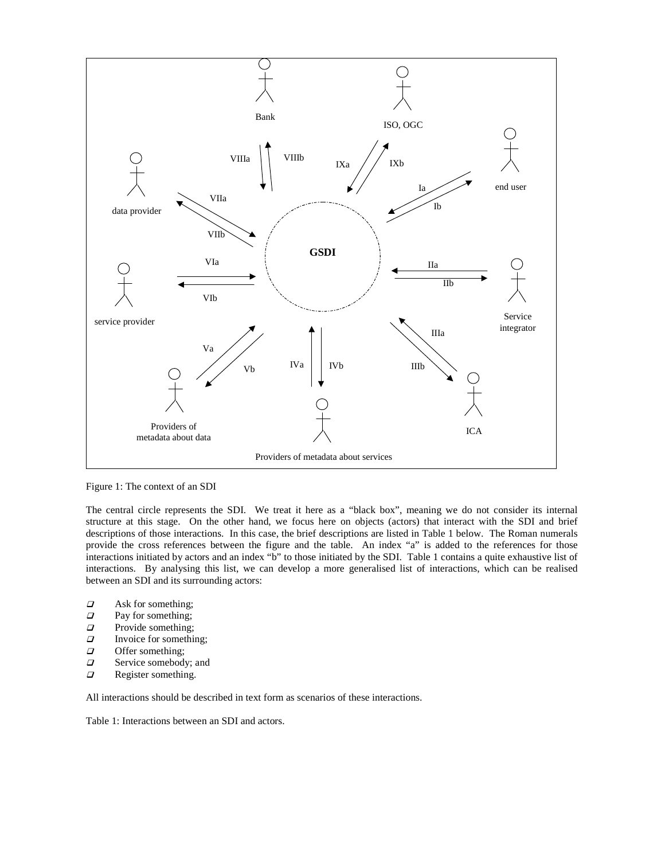

Figure 1: The context of an SDI

The central circle represents the SDI. We treat it here as a "black box", meaning we do not consider its internal structure at this stage. On the other hand, we focus here on objects (actors) that interact with the SDI and brief descriptions of those interactions. In this case, the brief descriptions are listed in Table 1 below. The Roman numerals provide the cross references between the figure and the table. An index "a" is added to the references for those interactions initiated by actors and an index "b" to those initiated by the SDI. Table 1 contains a quite exhaustive list of interactions. By analysing this list, we can develop a more generalised list of interactions, which can be realised between an SDI and its surrounding actors:

- $\Box$  Ask for something;<br> $\Box$  Pay for something;
- $\Box$  Pay for something;<br> $\Box$  Provide something;
- Provide something;
- $\Box$  Invoice for something;
- $\Box$  Offer something;<br> $\Box$  Service somebody
- $\Box$  Service somebody; and  $\Box$  Register something.
- Register something.

All interactions should be described in text form as scenarios of these interactions.

Table 1: Interactions between an SDI and actors.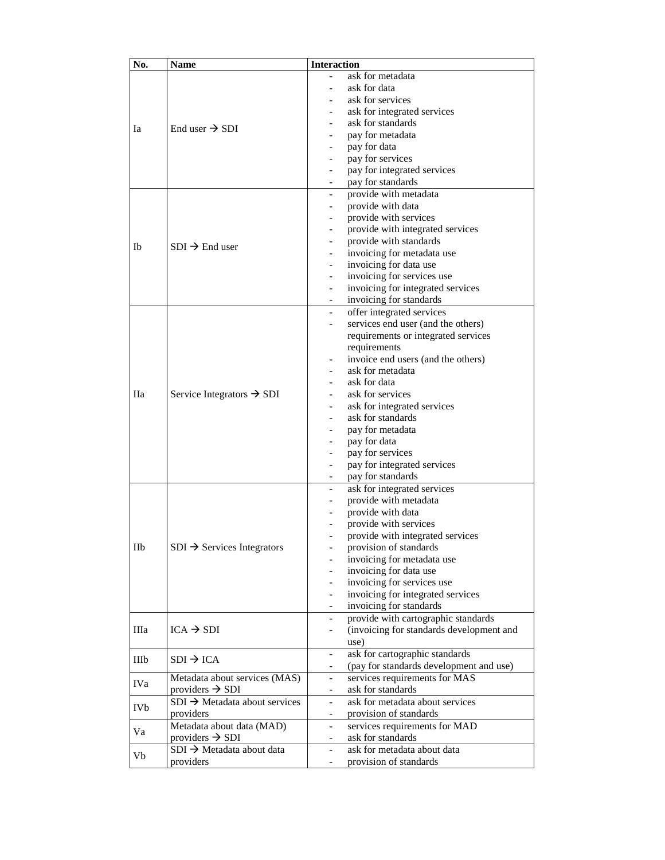| No.  | Name                                      | <b>Interaction</b>                                                   |
|------|-------------------------------------------|----------------------------------------------------------------------|
|      |                                           | ask for metadata                                                     |
| Ia   |                                           | ask for data                                                         |
|      | End user $\rightarrow$ SDI                | ask for services                                                     |
|      |                                           | ask for integrated services                                          |
|      |                                           | ask for standards<br>$\overline{\phantom{0}}$                        |
|      |                                           | pay for metadata                                                     |
|      |                                           | pay for data                                                         |
|      |                                           | pay for services                                                     |
|      |                                           | pay for integrated services<br>$\overline{\phantom{0}}$              |
|      |                                           | pay for standards<br>$\overline{\phantom{a}}$                        |
| Ib   | $SDI \rightarrow End$ user                | provide with metadata<br>$\overline{\phantom{0}}$                    |
|      |                                           | provide with data<br>$\overline{\phantom{0}}$                        |
|      |                                           | provide with services                                                |
|      |                                           | provide with integrated services                                     |
|      |                                           | provide with standards<br>$\overline{\phantom{0}}$                   |
|      |                                           | invoicing for metadata use<br>$\overline{\phantom{0}}$               |
|      |                                           | invoicing for data use                                               |
|      |                                           | invoicing for services use                                           |
|      |                                           | invoicing for integrated services<br>$\overline{\phantom{0}}$        |
|      |                                           | invoicing for standards<br>$\overline{\phantom{0}}$                  |
|      | Service Integrators $\rightarrow$ SDI     | offer integrated services<br>$\overline{\phantom{a}}$                |
|      |                                           | services end user (and the others)                                   |
|      |                                           | requirements or integrated services                                  |
|      |                                           | requirements                                                         |
|      |                                           | invoice end users (and the others)                                   |
|      |                                           | ask for metadata<br>$\overline{\phantom{0}}$                         |
|      |                                           | ask for data                                                         |
| Пa   |                                           | ask for services                                                     |
|      |                                           | ask for integrated services                                          |
|      |                                           | ask for standards                                                    |
|      |                                           | pay for metadata<br>$\overline{\phantom{0}}$                         |
|      |                                           | pay for data                                                         |
|      |                                           | pay for services<br>$\overline{\phantom{0}}$                         |
|      |                                           | pay for integrated services                                          |
|      |                                           | pay for standards                                                    |
|      |                                           | ask for integrated services<br>$\overline{\phantom{0}}$              |
|      |                                           | provide with metadata<br>$\overline{\phantom{a}}$                    |
| IIb  | $SDI \rightarrow$ Services Integrators    | provide with data                                                    |
|      |                                           | provide with services                                                |
|      |                                           | provide with integrated services                                     |
|      |                                           | provision of standards<br>$\overline{\phantom{0}}$                   |
|      |                                           | invoicing for metadata use                                           |
|      |                                           | invoicing for data use                                               |
|      |                                           | invoicing for services use                                           |
|      |                                           | invoicing for integrated services                                    |
|      |                                           | invoicing for standards<br>$\overline{\phantom{0}}$                  |
| Шa   | $ICA \rightarrow SDI$                     | provide with cartographic standards<br>$\overline{\phantom{0}}$      |
|      |                                           | (invoicing for standards development and<br>$\overline{\phantom{0}}$ |
|      |                                           | use)                                                                 |
|      | $SDI \rightarrow ICA$                     | ask for cartographic standards<br>$\overline{\phantom{0}}$           |
| IIIb |                                           | (pay for standards development and use)                              |
|      | Metadata about services (MAS)             | services requirements for MAS<br>$\overline{\phantom{a}}$            |
| IVa  | providers $\rightarrow$ SDI               | ask for standards<br>$\overline{\phantom{a}}$                        |
|      | $SDI \rightarrow Metadata$ about services | ask for metadata about services<br>$\overline{\phantom{0}}$          |
| IVb  | providers                                 | provision of standards<br>$\overline{\phantom{0}}$                   |
| Va   |                                           | services requirements for MAD                                        |
|      | Metadata about data (MAD)                 | ask for standards                                                    |
|      | providers $\rightarrow$ SDI               | ask for metadata about data                                          |
| Vb   | $SDI \rightarrow Metadata$ about data     | $\overline{\phantom{0}}$                                             |
|      | providers                                 | provision of standards<br>$\overline{\phantom{0}}$                   |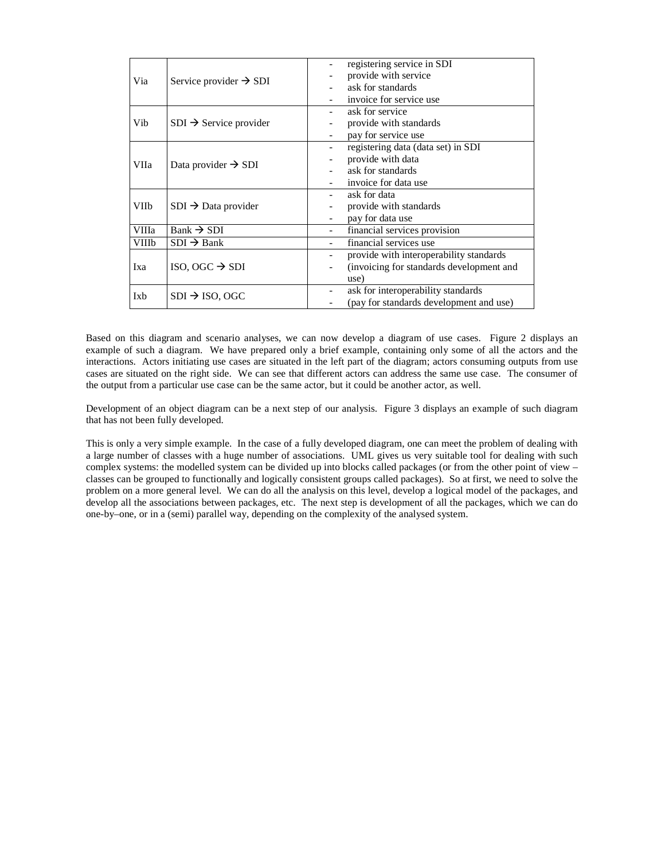| Via   | Service provider $\rightarrow$ SDI |                              | registering service in SDI               |
|-------|------------------------------------|------------------------------|------------------------------------------|
|       |                                    |                              | provide with service                     |
|       |                                    |                              | ask for standards                        |
|       |                                    |                              | invoice for service use                  |
| Vib   | $SDI \rightarrow$ Service provider |                              | ask for service                          |
|       |                                    |                              | provide with standards                   |
|       |                                    |                              | pay for service use                      |
| VIIa  | Data provider $\rightarrow$ SDI    |                              | registering data (data set) in SDI       |
|       |                                    | $\overline{\phantom{a}}$     | provide with data                        |
|       |                                    |                              | ask for standards                        |
|       |                                    |                              | invoice for data use                     |
| VIIb  | $SDI \rightarrow Data$ provider    |                              | ask for data                             |
|       |                                    |                              | provide with standards                   |
|       |                                    |                              | pay for data use                         |
| VIIIa | $Bank \rightarrow SDI$             |                              | financial services provision             |
| VIIIb | $SDI \rightarrow Bank$             |                              | financial services use                   |
| Ixa   | ISO, OGC $\rightarrow$ SDI         | $\qquad \qquad \blacksquare$ | provide with interoperability standards  |
|       |                                    |                              | (invoicing for standards development and |
|       |                                    |                              | use)                                     |
| Ixb   | $SDI \rightarrow ISO$ , OGC        | -                            | ask for interoperability standards       |
|       |                                    |                              | (pay for standards development and use)  |

Based on this diagram and scenario analyses, we can now develop a diagram of use cases. Figure 2 displays an example of such a diagram. We have prepared only a brief example, containing only some of all the actors and the interactions. Actors initiating use cases are situated in the left part of the diagram; actors consuming outputs from use cases are situated on the right side. We can see that different actors can address the same use case. The consumer of the output from a particular use case can be the same actor, but it could be another actor, as well.

Development of an object diagram can be a next step of our analysis. Figure 3 displays an example of such diagram that has not been fully developed.

This is only a very simple example. In the case of a fully developed diagram, one can meet the problem of dealing with a large number of classes with a huge number of associations. UML gives us very suitable tool for dealing with such complex systems: the modelled system can be divided up into blocks called packages (or from the other point of view – classes can be grouped to functionally and logically consistent groups called packages). So at first, we need to solve the problem on a more general level. We can do all the analysis on this level, develop a logical model of the packages, and develop all the associations between packages, etc. The next step is development of all the packages, which we can do one-by–one, or in a (semi) parallel way, depending on the complexity of the analysed system.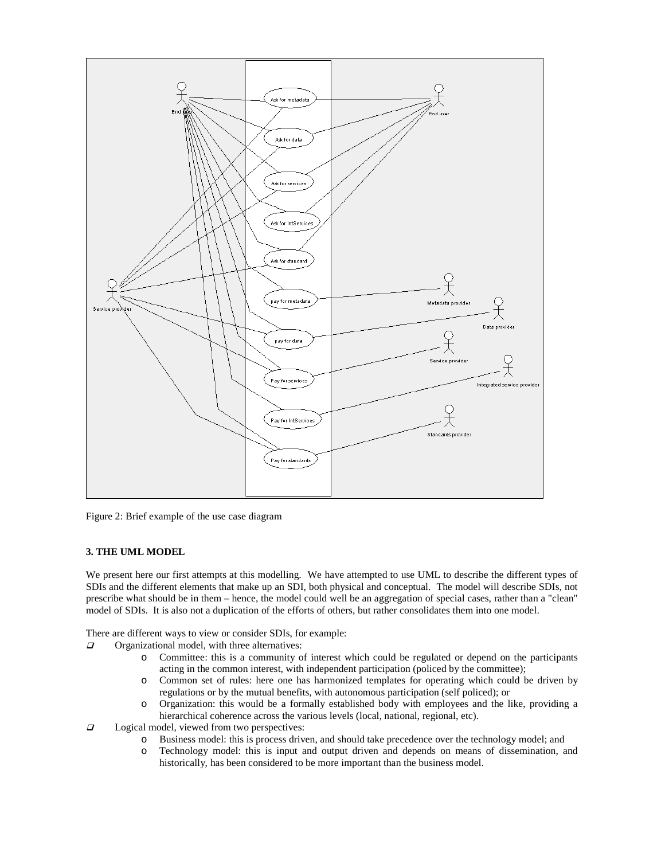

Figure 2: Brief example of the use case diagram

### **3. THE UML MODEL**

We present here our first attempts at this modelling. We have attempted to use UML to describe the different types of SDIs and the different elements that make up an SDI, both physical and conceptual. The model will describe SDIs, not prescribe what should be in them – hence, the model could well be an aggregation of special cases, rather than a "clean" model of SDIs. It is also not a duplication of the efforts of others, but rather consolidates them into one model.

There are different ways to view or consider SDIs, for example:

- $\Box$  Organizational model, with three alternatives:
	- o Committee: this is a community of interest which could be regulated or depend on the participants acting in the common interest, with independent participation (policed by the committee);
	- o Common set of rules: here one has harmonized templates for operating which could be driven by regulations or by the mutual benefits, with autonomous participation (self policed); or
	- o Organization: this would be a formally established body with employees and the like, providing a hierarchical coherence across the various levels (local, national, regional, etc).
- $\Box$  Logical model, viewed from two perspectives:
	- o Business model: this is process driven, and should take precedence over the technology model; and
	- o Technology model: this is input and output driven and depends on means of dissemination, and historically, has been considered to be more important than the business model.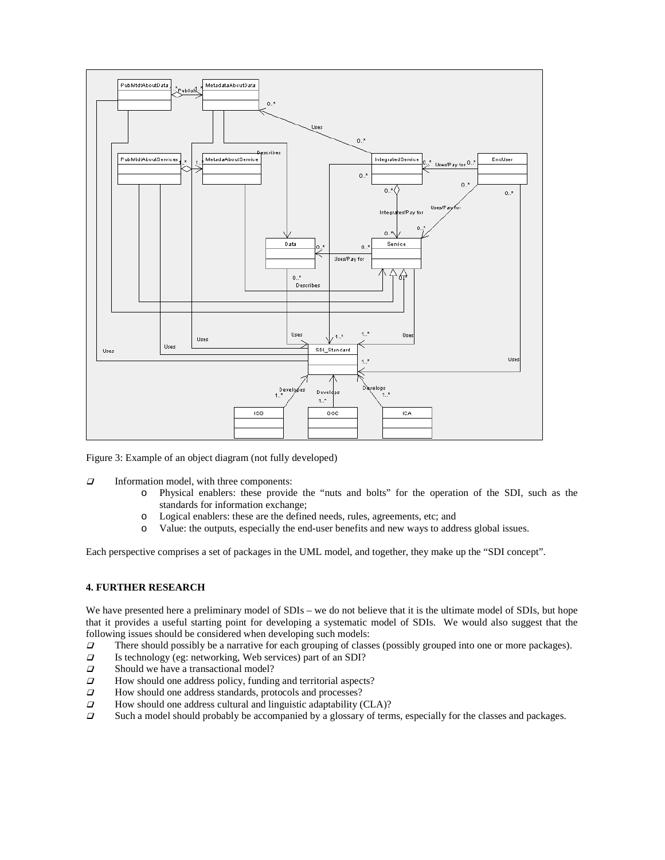

Figure 3: Example of an object diagram (not fully developed)

- $\Box$  Information model, with three components:
	- o Physical enablers: these provide the "nuts and bolts" for the operation of the SDI, such as the standards for information exchange;
	- o Logical enablers: these are the defined needs, rules, agreements, etc; and
	- o Value: the outputs, especially the end-user benefits and new ways to address global issues.

Each perspective comprises a set of packages in the UML model, and together, they make up the "SDI concept".

#### **4. FURTHER RESEARCH**

We have presented here a preliminary model of SDIs – we do not believe that it is the ultimate model of SDIs, but hope that it provides a useful starting point for developing a systematic model of SDIs. We would also suggest that the following issues should be considered when developing such models:

- There should possibly be a narrative for each grouping of classes (possibly grouped into one or more packages).<br>Is technology (eg: networking, Web services) part of an SDI?
- Is technology (eg: networking, Web services) part of an SDI?
- $\Box$  Should we have a transactional model?<br> $\Box$  How should one address policy, funding
- How should one address policy, funding and territorial aspects?
- $\Box$  How should one address standards, protocols and processes?<br> $\Box$  How should one address cultural and linguistic adaptability (
- $\Box$  How should one address cultural and linguistic adaptability (CLA)?<br> $\Box$  Such a model should probably be accompanied by a glossary of term
- Such a model should probably be accompanied by a glossary of terms, especially for the classes and packages.